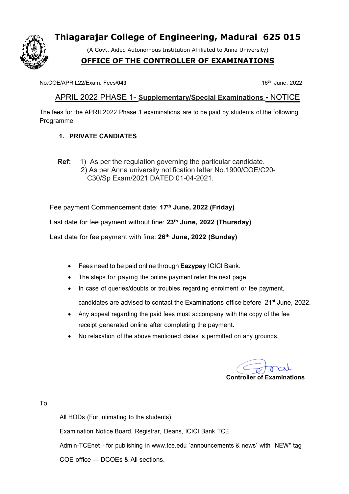

# **Thiagarajar College of Engineering, Madurai 625 015**

(A Govt. Aided Autonomous Institution Affiliated to Anna University)

## **OFFICE OF THE CONTROLLER OF EXAMINATIONS**

No.COE/APRIL22/Exam. Fees/043

 $16<sup>th</sup>$  June, 2022

#### APRIL 2022 PHASE 1- **Supplementary/Special Examinations -** NOTICE

The fees for the APRIL2022 Phase 1 examinations are to be paid by students of the following Programme

#### **1. PRIVATE CANDIATES**

**Ref:** 1) As per the regulation governing the particular candidate. 2) As per Anna university notification letter No.1900/COE/C20- C30/Sp Exam/2021 DATED 01-04-2021.

Fee payment Commencement date: **17 th June, 2022 (Friday)**

Last date for fee payment without fine: **23 th June, 2022 (Thursday)**

Last date for fee payment with fine: **26 th June, 2022 (Sunday)**

- Fees need to be paid online through **Eazypay** ICICI Bank.
- The steps for paying the online payment refer the next page.
- In case of queries/doubts or troubles regarding enrolment or fee payment.

candidates are advised to contact the Examinations office before 21<sup>st</sup> June, 2022.

- Any appeal regarding the paid fees must accompany with the copy of the fee receipt generated online after completing the payment.
- No relaxation of the above mentioned dates is permitted on any grounds.

**Controller of Examinations**

To:

All HODs (For intimating to the students),

Examination Notice Board, Registrar, Deans, ICICI Bank TCE

Admin-TCEnet - for publishing in [www.tce.edu](http://www.tce.edu/) 'announcements & news' with "NEW" tag

COE office — DCOEs & All sections.